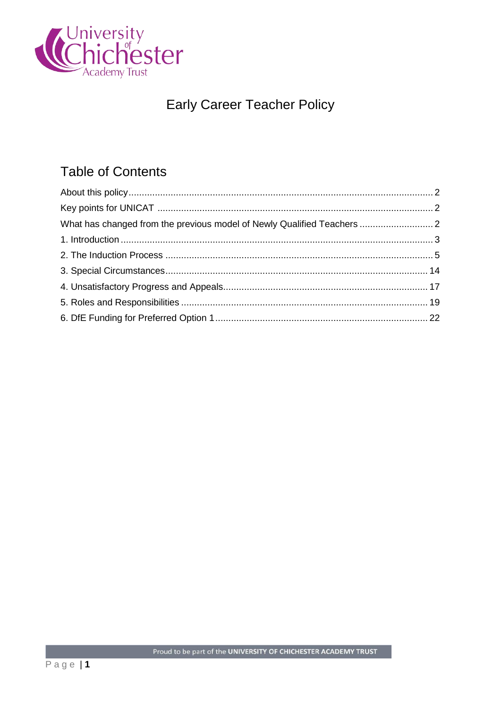

# **Early Career Teacher Policy**

## **Table of Contents**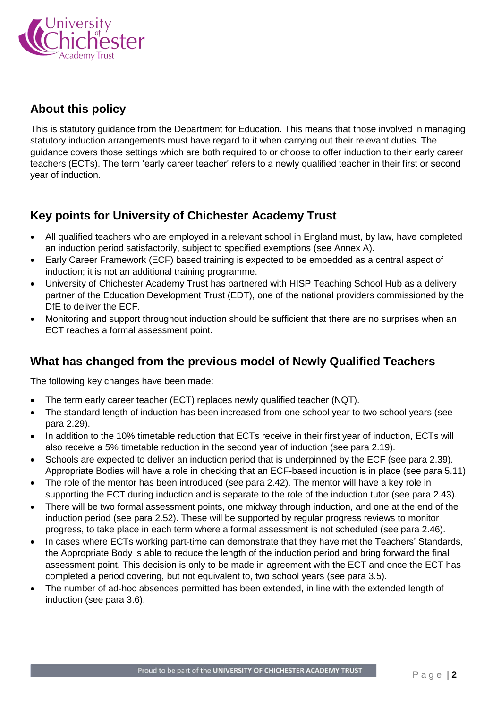

### <span id="page-1-0"></span>**About this policy**

This is statutory guidance from the Department for Education. This means that those involved in managing statutory induction arrangements must have regard to it when carrying out their relevant duties. The guidance covers those settings which are both required to or choose to offer induction to their early career teachers (ECTs). The term 'early career teacher' refers to a newly qualified teacher in their first or second year of induction.

### <span id="page-1-1"></span>**Key points for University of Chichester Academy Trust**

- All qualified teachers who are employed in a relevant school in England must, by law, have completed an induction period satisfactorily, subject to specified exemptions (see Annex A).
- Early Career Framework (ECF) based training is expected to be embedded as a central aspect of induction; it is not an additional training programme.
- University of Chichester Academy Trust has partnered with HISP Teaching School Hub as a delivery partner of the Education Development Trust (EDT), one of the national providers commissioned by the DfE to deliver the ECF.
- Monitoring and support throughout induction should be sufficient that there are no surprises when an ECT reaches a formal assessment point.

### <span id="page-1-2"></span>**What has changed from the previous model of Newly Qualified Teachers**

The following key changes have been made:

- The term early career teacher (ECT) replaces newly qualified teacher (NQT).
- The standard length of induction has been increased from one school year to two school years (see para 2.29).
- In addition to the 10% timetable reduction that ECTs receive in their first year of induction, ECTs will also receive a 5% timetable reduction in the second year of induction (see para 2.19).
- Schools are expected to deliver an induction period that is underpinned by the ECF (see para 2.39). Appropriate Bodies will have a role in checking that an ECF-based induction is in place (see para 5.11).
- The role of the mentor has been introduced (see para 2.42). The mentor will have a key role in supporting the ECT during induction and is separate to the role of the induction tutor (see para 2.43).
- There will be two formal assessment points, one midway through induction, and one at the end of the induction period (see para 2.52). These will be supported by regular progress reviews to monitor progress, to take place in each term where a formal assessment is not scheduled (see para 2.46).
- In cases where ECTs working part-time can demonstrate that they have met the Teachers' Standards, the Appropriate Body is able to reduce the length of the induction period and bring forward the final assessment point. This decision is only to be made in agreement with the ECT and once the ECT has completed a period covering, but not equivalent to, two school years (see para 3.5).
- The number of ad-hoc absences permitted has been extended, in line with the extended length of induction (see para 3.6).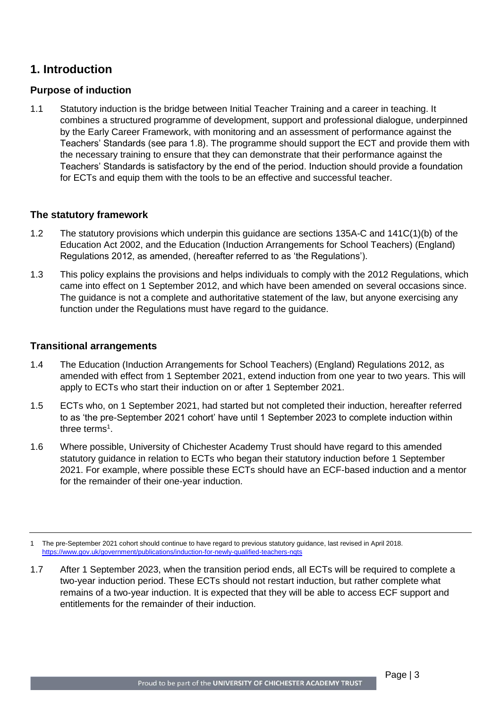### <span id="page-2-0"></span>**1. Introduction**

#### **Purpose of induction**

1.1 Statutory induction is the bridge between Initial Teacher Training and a career in teaching. It combines a structured programme of development, support and professional dialogue, underpinned by the Early Career Framework, with monitoring and an assessment of performance against the Teachers' Standards (see para 1.8). The programme should support the ECT and provide them with the necessary training to ensure that they can demonstrate that their performance against the Teachers' Standards is satisfactory by the end of the period. Induction should provide a foundation for ECTs and equip them with the tools to be an effective and successful teacher.

#### **The statutory framework**

- 1.2 The statutory provisions which underpin this guidance are sections 135A-C and 141C(1)(b) of the Education Act 2002, and the Education (Induction Arrangements for School Teachers) (England) Regulations 2012, as amended, (hereafter referred to as 'the Regulations').
- 1.3 This policy explains the provisions and helps individuals to comply with the 2012 Regulations, which came into effect on 1 September 2012, and which have been amended on several occasions since. The guidance is not a complete and authoritative statement of the law, but anyone exercising any function under the Regulations must have regard to the guidance.

#### **Transitional arrangements**

- 1.4 The Education (Induction Arrangements for School Teachers) (England) Regulations 2012, as amended with effect from 1 September 2021, extend induction from one year to two years. This will apply to ECTs who start their induction on or after 1 September 2021.
- 1.5 ECTs who, on 1 September 2021, had started but not completed their induction, hereafter referred to as 'the pre-September 2021 cohort' have until 1 September 2023 to complete induction within three terms<sup>1</sup>.
- 1.6 Where possible, University of Chichester Academy Trust should have regard to this amended statutory guidance in relation to ECTs who began their statutory induction before 1 September 2021. For example, where possible these ECTs should have an ECF-based induction and a mentor for the remainder of their one-year induction.

1.7 After 1 September 2023, when the transition period ends, all ECTs will be required to complete a two-year induction period. These ECTs should not restart induction, but rather complete what remains of a two-year induction. It is expected that they will be able to access ECF support and entitlements for the remainder of their induction.

<sup>1</sup> The pre-September 2021 cohort should continue to have regard to previous statutory guidance, last revised in April 2018. <https://www.gov.uk/government/publications/induction-for-newly-qualified-teachers-nqts>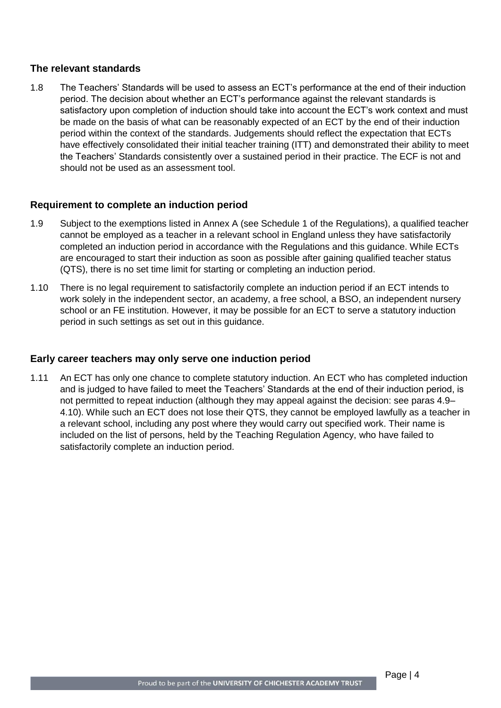#### **The relevant standards**

1.8 The Teachers' Standards will be used to assess an ECT's performance at the end of their induction period. The decision about whether an ECT's performance against the relevant standards is satisfactory upon completion of induction should take into account the ECT's work context and must be made on the basis of what can be reasonably expected of an ECT by the end of their induction period within the context of the standards. Judgements should reflect the expectation that ECTs have effectively consolidated their initial teacher training (ITT) and demonstrated their ability to meet the Teachers' Standards consistently over a sustained period in their practice. The ECF is not and should not be used as an assessment tool.

#### **Requirement to complete an induction period**

- 1.9 Subject to the exemptions listed in Annex A (see Schedule 1 of the Regulations), a qualified teacher cannot be employed as a teacher in a relevant school in England unless they have satisfactorily completed an induction period in accordance with the Regulations and this guidance. While ECTs are encouraged to start their induction as soon as possible after gaining qualified teacher status (QTS), there is no set time limit for starting or completing an induction period.
- 1.10 There is no legal requirement to satisfactorily complete an induction period if an ECT intends to work solely in the independent sector, an academy, a free school, a BSO, an independent nursery school or an FE institution. However, it may be possible for an ECT to serve a statutory induction period in such settings as set out in this guidance.

#### **Early career teachers may only serve one induction period**

1.11 An ECT has only one chance to complete statutory induction. An ECT who has completed induction and is judged to have failed to meet the Teachers' Standards at the end of their induction period, is not permitted to repeat induction (although they may appeal against the decision: see paras 4.9– 4.10). While such an ECT does not lose their QTS, they cannot be employed lawfully as a teacher in a relevant school, including any post where they would carry out specified work. Their name is included on the list of persons, held by the Teaching Regulation Agency, who have failed to satisfactorily complete an induction period.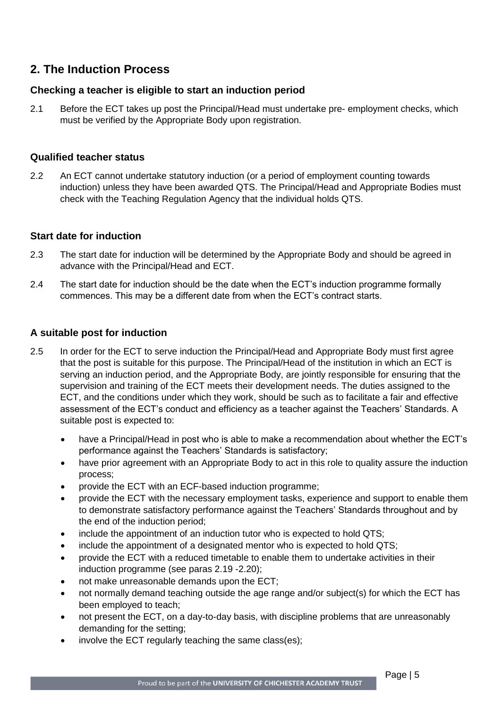### <span id="page-4-0"></span>**2. The Induction Process**

#### **Checking a teacher is eligible to start an induction period**

2.1 Before the ECT takes up post the Principal/Head must undertake pre- employment checks, which must be verified by the Appropriate Body upon registration.

#### **Qualified teacher status**

2.2 An ECT cannot undertake statutory induction (or a period of employment counting towards induction) unless they have been awarded QTS. The Principal/Head and Appropriate Bodies must check with the Teaching Regulation Agency that the individual holds QTS.

#### **Start date for induction**

- 2.3 The start date for induction will be determined by the Appropriate Body and should be agreed in advance with the Principal/Head and ECT.
- 2.4 The start date for induction should be the date when the ECT's induction programme formally commences. This may be a different date from when the ECT's contract starts.

#### **A suitable post for induction**

- 2.5 In order for the ECT to serve induction the Principal/Head and Appropriate Body must first agree that the post is suitable for this purpose. The Principal/Head of the institution in which an ECT is serving an induction period, and the Appropriate Body, are jointly responsible for ensuring that the supervision and training of the ECT meets their development needs. The duties assigned to the ECT, and the conditions under which they work, should be such as to facilitate a fair and effective assessment of the ECT's conduct and efficiency as a teacher against the Teachers' Standards. A suitable post is expected to:
	- have a Principal/Head in post who is able to make a recommendation about whether the ECT's performance against the Teachers' Standards is satisfactory;
	- have prior agreement with an Appropriate Body to act in this role to quality assure the induction process;
	- provide the ECT with an ECF-based induction programme;
	- provide the ECT with the necessary employment tasks, experience and support to enable them to demonstrate satisfactory performance against the Teachers' Standards throughout and by the end of the induction period;
	- include the appointment of an induction tutor who is expected to hold QTS;
	- include the appointment of a designated mentor who is expected to hold QTS;
	- provide the ECT with a reduced timetable to enable them to undertake activities in their induction programme (see paras 2.19 -2.20);
	- not make unreasonable demands upon the ECT;
	- not normally demand teaching outside the age range and/or subject(s) for which the ECT has been employed to teach;
	- not present the ECT, on a day-to-day basis, with discipline problems that are unreasonably demanding for the setting;
	- involve the ECT regularly teaching the same class(es);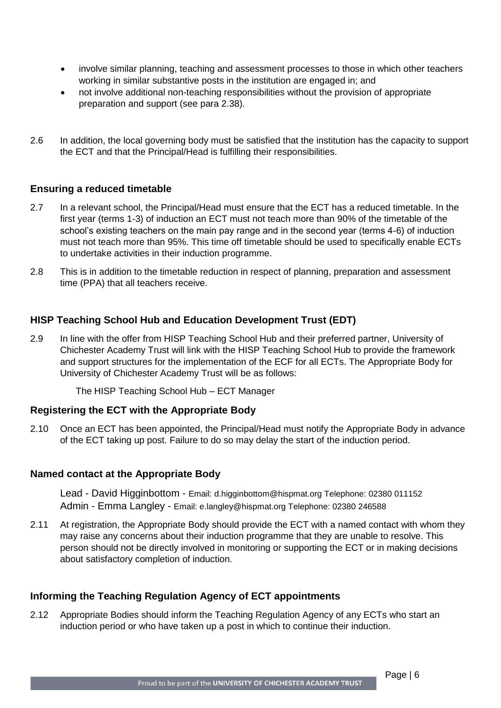- involve similar planning, teaching and assessment processes to those in which other teachers working in similar substantive posts in the institution are engaged in; and
- not involve additional non-teaching responsibilities without the provision of appropriate preparation and support (see para 2.38).
- 2.6 In addition, the local governing body must be satisfied that the institution has the capacity to support the ECT and that the Principal/Head is fulfilling their responsibilities.

#### **Ensuring a reduced timetable**

- 2.7 In a relevant school, the Principal/Head must ensure that the ECT has a reduced timetable. In the first year (terms 1-3) of induction an ECT must not teach more than 90% of the timetable of the school's existing teachers on the main pay range and in the second year (terms 4-6) of induction must not teach more than 95%. This time off timetable should be used to specifically enable ECTs to undertake activities in their induction programme.
- 2.8 This is in addition to the timetable reduction in respect of planning, preparation and assessment time (PPA) that all teachers receive.

#### **HISP Teaching School Hub and Education Development Trust (EDT)**

2.9 In line with the offer from HISP Teaching School Hub and their preferred partner, University of Chichester Academy Trust will link with the HISP Teaching School Hub to provide the framework and support structures for the implementation of the ECF for all ECTs. The Appropriate Body for University of Chichester Academy Trust will be as follows:

The HISP Teaching School Hub – ECT Manager

#### **Registering the ECT with the Appropriate Body**

2.10 Once an ECT has been appointed, the Principal/Head must notify the Appropriate Body in advance of the ECT taking up post. Failure to do so may delay the start of the induction period.

#### **Named contact at the Appropriate Body**

Lead - David Higginbottom - Email: d.higginbottom@hispmat.org Telephone: 02380 011152 Admin - Emma Langley - Email: e.langley@hispmat.org Telephone: 02380 246588

2.11 At registration, the Appropriate Body should provide the ECT with a named contact with whom they may raise any concerns about their induction programme that they are unable to resolve. This person should not be directly involved in monitoring or supporting the ECT or in making decisions about satisfactory completion of induction.

#### **Informing the Teaching Regulation Agency of ECT appointments**

2.12 Appropriate Bodies should inform the Teaching Regulation Agency of any ECTs who start an induction period or who have taken up a post in which to continue their induction.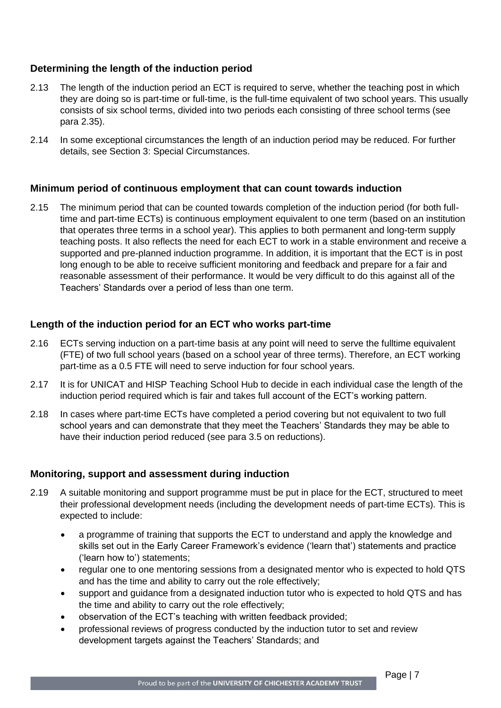#### **Determining the length of the induction period**

- 2.13 The length of the induction period an ECT is required to serve, whether the teaching post in which they are doing so is part-time or full-time, is the full-time equivalent of two school years. This usually consists of six school terms, divided into two periods each consisting of three school terms (see para 2.35).
- 2.14 In some exceptional circumstances the length of an induction period may be reduced. For further details, see Section 3: Special Circumstances.

#### **Minimum period of continuous employment that can count towards induction**

2.15 The minimum period that can be counted towards completion of the induction period (for both fulltime and part-time ECTs) is continuous employment equivalent to one term (based on an institution that operates three terms in a school year). This applies to both permanent and long-term supply teaching posts. It also reflects the need for each ECT to work in a stable environment and receive a supported and pre-planned induction programme. In addition, it is important that the ECT is in post long enough to be able to receive sufficient monitoring and feedback and prepare for a fair and reasonable assessment of their performance. It would be very difficult to do this against all of the Teachers' Standards over a period of less than one term.

#### **Length of the induction period for an ECT who works part-time**

- 2.16 ECTs serving induction on a part-time basis at any point will need to serve the fulltime equivalent (FTE) of two full school years (based on a school year of three terms). Therefore, an ECT working part-time as a 0.5 FTE will need to serve induction for four school years.
- 2.17 It is for UNICAT and HISP Teaching School Hub to decide in each individual case the length of the induction period required which is fair and takes full account of the ECT's working pattern.
- 2.18 In cases where part-time ECTs have completed a period covering but not equivalent to two full school years and can demonstrate that they meet the Teachers' Standards they may be able to have their induction period reduced (see para 3.5 on reductions).

#### **Monitoring, support and assessment during induction**

- 2.19 A suitable monitoring and support programme must be put in place for the ECT, structured to meet their professional development needs (including the development needs of part-time ECTs). This is expected to include:
	- a programme of training that supports the ECT to understand and apply the knowledge and skills set out in the Early Career Framework's evidence ('learn that') statements and practice ('learn how to') statements;
	- regular one to one mentoring sessions from a designated mentor who is expected to hold QTS and has the time and ability to carry out the role effectively;
	- support and guidance from a designated induction tutor who is expected to hold QTS and has the time and ability to carry out the role effectively;
	- observation of the ECT's teaching with written feedback provided;
	- professional reviews of progress conducted by the induction tutor to set and review development targets against the Teachers' Standards; and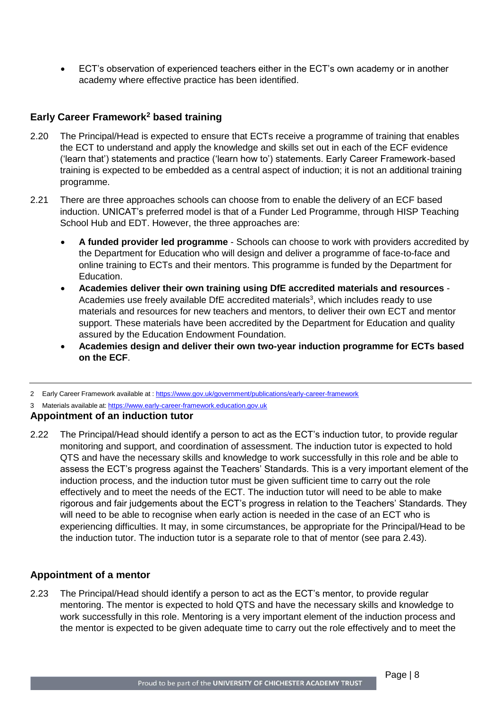ECT's observation of experienced teachers either in the ECT's own academy or in another academy where effective practice has been identified.

#### **Early Career Framework<sup>2</sup> based training**

- 2.20 The Principal/Head is expected to ensure that ECTs receive a programme of training that enables the ECT to understand and apply the knowledge and skills set out in each of the ECF evidence ('learn that') statements and practice ('learn how to') statements. Early Career Framework-based training is expected to be embedded as a central aspect of induction; it is not an additional training programme.
- 2.21 There are three approaches schools can choose from to enable the delivery of an ECF based induction. UNICAT's preferred model is that of a Funder Led Programme, through HISP Teaching School Hub and EDT. However, the three approaches are:
	- **A funded provider led programme** Schools can choose to work with providers accredited by the Department for Education who will design and deliver a programme of face-to-face and online training to ECTs and their mentors. This programme is funded by the Department for Education.
	- **Academies deliver their own training using DfE accredited materials and resources** Academies use freely available DfE accredited materials<sup>3</sup>, which includes ready to use materials and resources for new teachers and mentors, to deliver their own ECT and mentor support. These materials have been accredited by the Department for Education and quality assured by the Education Endowment Foundation.
	- **Academies design and deliver their own two-year induction programme for ECTs based on the ECF**.

2 Early Career Framework available at : <https://www.gov.uk/government/publications/early-career-framework>

3 Materials available at: [https://www.early-career-framework.education.gov.uk](https://www.early-career-framework.education.gov.uk/)

#### **Appointment of an induction tutor**

2.22 The Principal/Head should identify a person to act as the ECT's induction tutor, to provide regular monitoring and support, and coordination of assessment. The induction tutor is expected to hold QTS and have the necessary skills and knowledge to work successfully in this role and be able to assess the ECT's progress against the Teachers' Standards. This is a very important element of the induction process, and the induction tutor must be given sufficient time to carry out the role effectively and to meet the needs of the ECT. The induction tutor will need to be able to make rigorous and fair judgements about the ECT's progress in relation to the Teachers' Standards. They will need to be able to recognise when early action is needed in the case of an ECT who is experiencing difficulties. It may, in some circumstances, be appropriate for the Principal/Head to be the induction tutor. The induction tutor is a separate role to that of mentor (see para 2.43).

#### **Appointment of a mentor**

2.23 The Principal/Head should identify a person to act as the ECT's mentor, to provide regular mentoring. The mentor is expected to hold QTS and have the necessary skills and knowledge to work successfully in this role. Mentoring is a very important element of the induction process and the mentor is expected to be given adequate time to carry out the role effectively and to meet the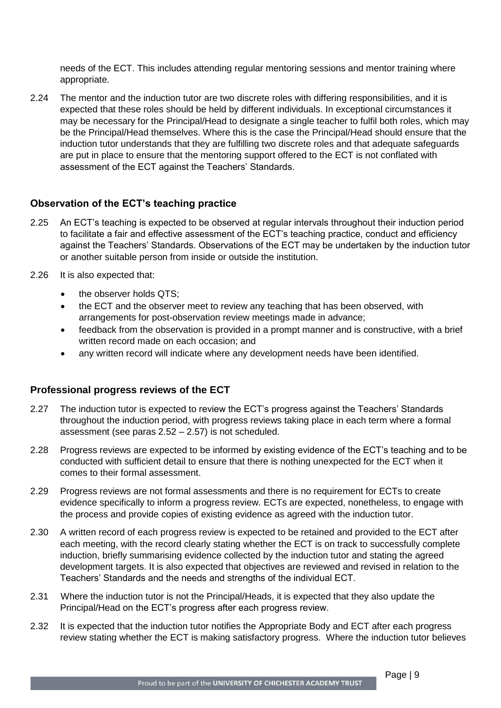needs of the ECT. This includes attending regular mentoring sessions and mentor training where appropriate.

2.24 The mentor and the induction tutor are two discrete roles with differing responsibilities, and it is expected that these roles should be held by different individuals. In exceptional circumstances it may be necessary for the Principal/Head to designate a single teacher to fulfil both roles, which may be the Principal/Head themselves. Where this is the case the Principal/Head should ensure that the induction tutor understands that they are fulfilling two discrete roles and that adequate safeguards are put in place to ensure that the mentoring support offered to the ECT is not conflated with assessment of the ECT against the Teachers' Standards.

#### **Observation of the ECT's teaching practice**

- 2.25 An ECT's teaching is expected to be observed at regular intervals throughout their induction period to facilitate a fair and effective assessment of the ECT's teaching practice, conduct and efficiency against the Teachers' Standards. Observations of the ECT may be undertaken by the induction tutor or another suitable person from inside or outside the institution.
- 2.26 It is also expected that:
	- the observer holds QTS;
	- the ECT and the observer meet to review any teaching that has been observed, with arrangements for post-observation review meetings made in advance;
	- feedback from the observation is provided in a prompt manner and is constructive, with a brief written record made on each occasion; and
	- any written record will indicate where any development needs have been identified.

#### **Professional progress reviews of the ECT**

- 2.27 The induction tutor is expected to review the ECT's progress against the Teachers' Standards throughout the induction period, with progress reviews taking place in each term where a formal assessment (see paras 2.52 – 2.57) is not scheduled.
- 2.28 Progress reviews are expected to be informed by existing evidence of the ECT's teaching and to be conducted with sufficient detail to ensure that there is nothing unexpected for the ECT when it comes to their formal assessment.
- 2.29 Progress reviews are not formal assessments and there is no requirement for ECTs to create evidence specifically to inform a progress review. ECTs are expected, nonetheless, to engage with the process and provide copies of existing evidence as agreed with the induction tutor.
- 2.30 A written record of each progress review is expected to be retained and provided to the ECT after each meeting, with the record clearly stating whether the ECT is on track to successfully complete induction, briefly summarising evidence collected by the induction tutor and stating the agreed development targets. It is also expected that objectives are reviewed and revised in relation to the Teachers' Standards and the needs and strengths of the individual ECT.
- 2.31 Where the induction tutor is not the Principal/Heads, it is expected that they also update the Principal/Head on the ECT's progress after each progress review.
- 2.32 It is expected that the induction tutor notifies the Appropriate Body and ECT after each progress review stating whether the ECT is making satisfactory progress. Where the induction tutor believes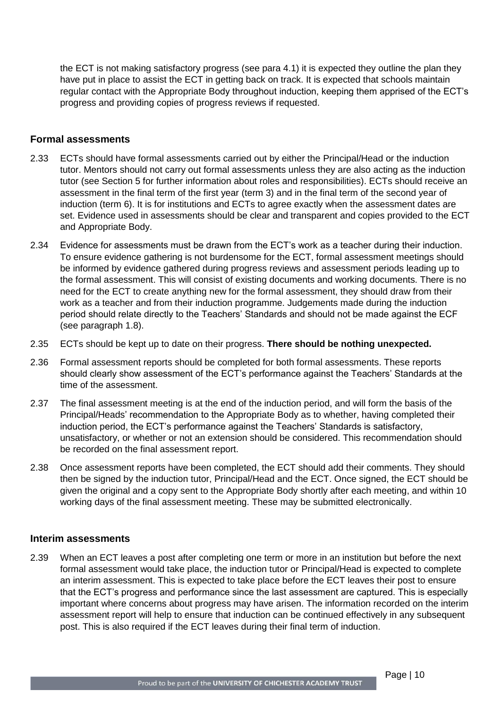the ECT is not making satisfactory progress (see para 4.1) it is expected they outline the plan they have put in place to assist the ECT in getting back on track. It is expected that schools maintain regular contact with the Appropriate Body throughout induction, keeping them apprised of the ECT's progress and providing copies of progress reviews if requested.

#### **Formal assessments**

- 2.33 ECTs should have formal assessments carried out by either the Principal/Head or the induction tutor. Mentors should not carry out formal assessments unless they are also acting as the induction tutor (see Section 5 for further information about roles and responsibilities). ECTs should receive an assessment in the final term of the first year (term 3) and in the final term of the second year of induction (term 6). It is for institutions and ECTs to agree exactly when the assessment dates are set. Evidence used in assessments should be clear and transparent and copies provided to the ECT and Appropriate Body.
- 2.34 Evidence for assessments must be drawn from the ECT's work as a teacher during their induction. To ensure evidence gathering is not burdensome for the ECT, formal assessment meetings should be informed by evidence gathered during progress reviews and assessment periods leading up to the formal assessment. This will consist of existing documents and working documents. There is no need for the ECT to create anything new for the formal assessment, they should draw from their work as a teacher and from their induction programme. Judgements made during the induction period should relate directly to the Teachers' Standards and should not be made against the ECF (see paragraph 1.8).
- 2.35 ECTs should be kept up to date on their progress. **There should be nothing unexpected.**
- 2.36 Formal assessment reports should be completed for both formal assessments. These reports should clearly show assessment of the ECT's performance against the Teachers' Standards at the time of the assessment.
- 2.37 The final assessment meeting is at the end of the induction period, and will form the basis of the Principal/Heads' recommendation to the Appropriate Body as to whether, having completed their induction period, the ECT's performance against the Teachers' Standards is satisfactory, unsatisfactory, or whether or not an extension should be considered. This recommendation should be recorded on the final assessment report.
- 2.38 Once assessment reports have been completed, the ECT should add their comments. They should then be signed by the induction tutor, Principal/Head and the ECT. Once signed, the ECT should be given the original and a copy sent to the Appropriate Body shortly after each meeting, and within 10 working days of the final assessment meeting. These may be submitted electronically.

#### **Interim assessments**

2.39 When an ECT leaves a post after completing one term or more in an institution but before the next formal assessment would take place, the induction tutor or Principal/Head is expected to complete an interim assessment. This is expected to take place before the ECT leaves their post to ensure that the ECT's progress and performance since the last assessment are captured. This is especially important where concerns about progress may have arisen. The information recorded on the interim assessment report will help to ensure that induction can be continued effectively in any subsequent post. This is also required if the ECT leaves during their final term of induction.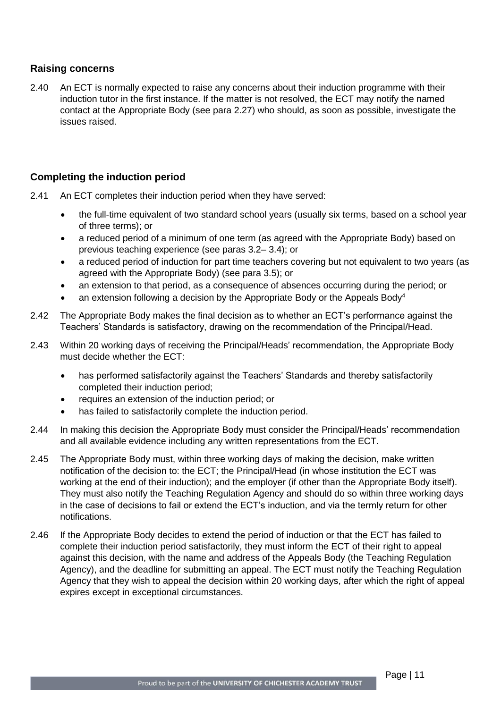#### **Raising concerns**

2.40 An ECT is normally expected to raise any concerns about their induction programme with their induction tutor in the first instance. If the matter is not resolved, the ECT may notify the named contact at the Appropriate Body (see para 2.27) who should, as soon as possible, investigate the issues raised.

#### **Completing the induction period**

- 2.41 An ECT completes their induction period when they have served:
	- the full-time equivalent of two standard school years (usually six terms, based on a school year of three terms); or
	- a reduced period of a minimum of one term (as agreed with the Appropriate Body) based on previous teaching experience (see paras 3.2– 3.4); or
	- a reduced period of induction for part time teachers covering but not equivalent to two years (as agreed with the Appropriate Body) (see para 3.5); or
	- an extension to that period, as a consequence of absences occurring during the period; or
	- an extension following a decision by the Appropriate Body or the Appeals Body<sup>4</sup>
- 2.42 The Appropriate Body makes the final decision as to whether an ECT's performance against the Teachers' Standards is satisfactory, drawing on the recommendation of the Principal/Head.
- 2.43 Within 20 working days of receiving the Principal/Heads' recommendation, the Appropriate Body must decide whether the ECT:
	- has performed satisfactorily against the Teachers' Standards and thereby satisfactorily completed their induction period;
	- requires an extension of the induction period; or
	- has failed to satisfactorily complete the induction period.
- 2.44 In making this decision the Appropriate Body must consider the Principal/Heads' recommendation and all available evidence including any written representations from the ECT.
- 2.45 The Appropriate Body must, within three working days of making the decision, make written notification of the decision to: the ECT; the Principal/Head (in whose institution the ECT was working at the end of their induction); and the employer (if other than the Appropriate Body itself). They must also notify the Teaching Regulation Agency and should do so within three working days in the case of decisions to fail or extend the ECT's induction, and via the termly return for other notifications.
- 2.46 If the Appropriate Body decides to extend the period of induction or that the ECT has failed to complete their induction period satisfactorily, they must inform the ECT of their right to appeal against this decision, with the name and address of the Appeals Body (the Teaching Regulation Agency), and the deadline for submitting an appeal. The ECT must notify the Teaching Regulation Agency that they wish to appeal the decision within 20 working days, after which the right of appeal expires except in exceptional circumstances.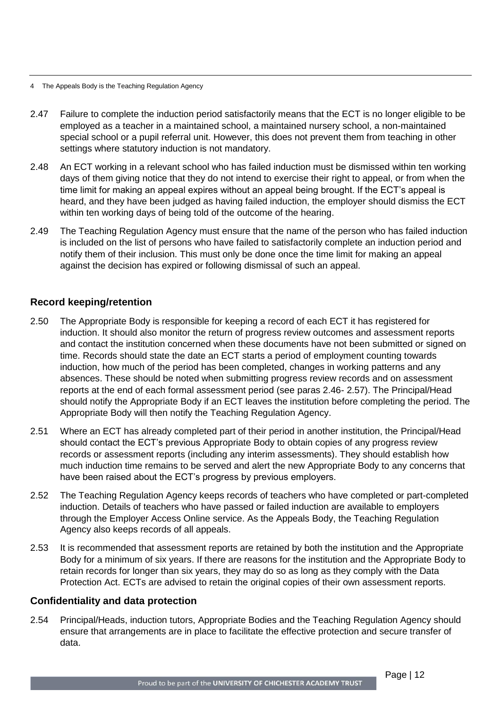- 4 The Appeals Body is the Teaching Regulation Agency
- 2.47 Failure to complete the induction period satisfactorily means that the ECT is no longer eligible to be employed as a teacher in a maintained school, a maintained nursery school, a non-maintained special school or a pupil referral unit. However, this does not prevent them from teaching in other settings where statutory induction is not mandatory.
- 2.48 An ECT working in a relevant school who has failed induction must be dismissed within ten working days of them giving notice that they do not intend to exercise their right to appeal, or from when the time limit for making an appeal expires without an appeal being brought. If the ECT's appeal is heard, and they have been judged as having failed induction, the employer should dismiss the ECT within ten working days of being told of the outcome of the hearing.
- 2.49 The Teaching Regulation Agency must ensure that the name of the person who has failed induction is included on the list of persons who have failed to satisfactorily complete an induction period and notify them of their inclusion. This must only be done once the time limit for making an appeal against the decision has expired or following dismissal of such an appeal.

#### **Record keeping/retention**

- 2.50 The Appropriate Body is responsible for keeping a record of each ECT it has registered for induction. It should also monitor the return of progress review outcomes and assessment reports and contact the institution concerned when these documents have not been submitted or signed on time. Records should state the date an ECT starts a period of employment counting towards induction, how much of the period has been completed, changes in working patterns and any absences. These should be noted when submitting progress review records and on assessment reports at the end of each formal assessment period (see paras 2.46- 2.57). The Principal/Head should notify the Appropriate Body if an ECT leaves the institution before completing the period. The Appropriate Body will then notify the Teaching Regulation Agency.
- 2.51 Where an ECT has already completed part of their period in another institution, the Principal/Head should contact the ECT's previous Appropriate Body to obtain copies of any progress review records or assessment reports (including any interim assessments). They should establish how much induction time remains to be served and alert the new Appropriate Body to any concerns that have been raised about the ECT's progress by previous employers.
- 2.52 The Teaching Regulation Agency keeps records of teachers who have completed or part-completed induction. Details of teachers who have passed or failed induction are available to employers through the Employer Access Online service. As the Appeals Body, the Teaching Regulation Agency also keeps records of all appeals.
- 2.53 It is recommended that assessment reports are retained by both the institution and the Appropriate Body for a minimum of six years. If there are reasons for the institution and the Appropriate Body to retain records for longer than six years, they may do so as long as they comply with the Data Protection Act. ECTs are advised to retain the original copies of their own assessment reports.

#### **Confidentiality and data protection**

2.54 Principal/Heads, induction tutors, Appropriate Bodies and the Teaching Regulation Agency should ensure that arrangements are in place to facilitate the effective protection and secure transfer of data.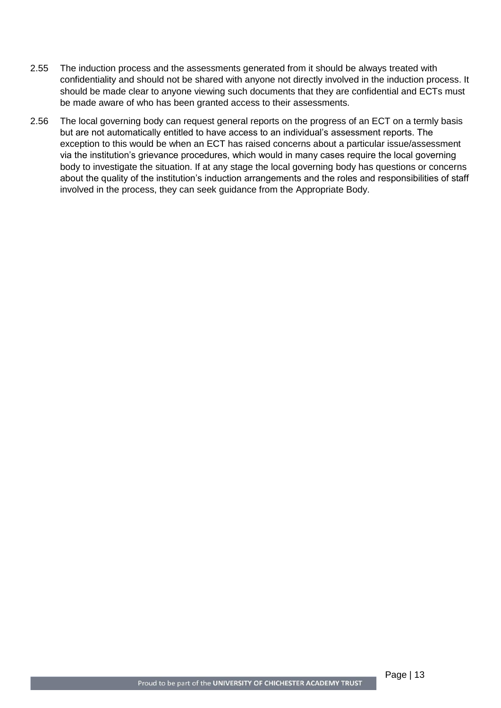- 2.55 The induction process and the assessments generated from it should be always treated with confidentiality and should not be shared with anyone not directly involved in the induction process. It should be made clear to anyone viewing such documents that they are confidential and ECTs must be made aware of who has been granted access to their assessments.
- 2.56 The local governing body can request general reports on the progress of an ECT on a termly basis but are not automatically entitled to have access to an individual's assessment reports. The exception to this would be when an ECT has raised concerns about a particular issue/assessment via the institution's grievance procedures, which would in many cases require the local governing body to investigate the situation. If at any stage the local governing body has questions or concerns about the quality of the institution's induction arrangements and the roles and responsibilities of staff involved in the process, they can seek guidance from the Appropriate Body.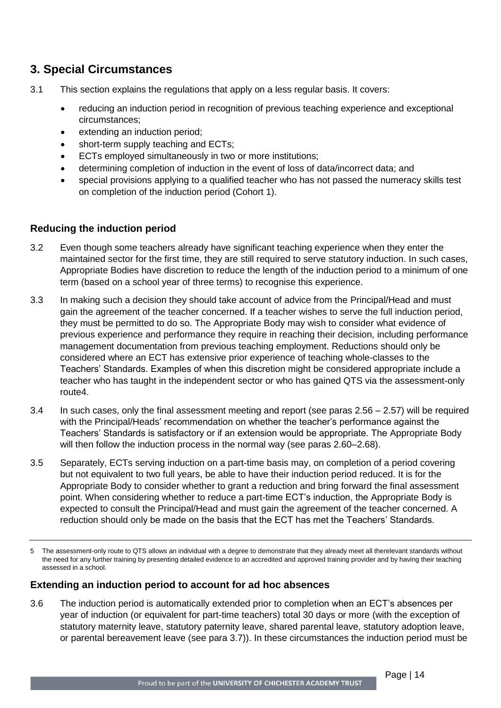### <span id="page-13-0"></span>**3. Special Circumstances**

- 3.1 This section explains the regulations that apply on a less regular basis. It covers:
	- reducing an induction period in recognition of previous teaching experience and exceptional circumstances;
	- extending an induction period;
	- short-term supply teaching and ECTs;
	- ECTs employed simultaneously in two or more institutions;
	- determining completion of induction in the event of loss of data/incorrect data; and
	- special provisions applying to a qualified teacher who has not passed the numeracy skills test on completion of the induction period (Cohort 1).

#### **Reducing the induction period**

- 3.2 Even though some teachers already have significant teaching experience when they enter the maintained sector for the first time, they are still required to serve statutory induction. In such cases, Appropriate Bodies have discretion to reduce the length of the induction period to a minimum of one term (based on a school year of three terms) to recognise this experience.
- 3.3 In making such a decision they should take account of advice from the Principal/Head and must gain the agreement of the teacher concerned. If a teacher wishes to serve the full induction period, they must be permitted to do so. The Appropriate Body may wish to consider what evidence of previous experience and performance they require in reaching their decision, including performance management documentation from previous teaching employment. Reductions should only be considered where an ECT has extensive prior experience of teaching whole-classes to the Teachers' Standards. Examples of when this discretion might be considered appropriate include a teacher who has taught in the independent sector or who has gained QTS via the assessment-only route4.
- 3.4 In such cases, only the final assessment meeting and report (see paras 2.56 2.57) will be required with the Principal/Heads' recommendation on whether the teacher's performance against the Teachers' Standards is satisfactory or if an extension would be appropriate. The Appropriate Body will then follow the induction process in the normal way (see paras 2.60–2.68).
- 3.5 Separately, ECTs serving induction on a part-time basis may, on completion of a period covering but not equivalent to two full years, be able to have their induction period reduced. It is for the Appropriate Body to consider whether to grant a reduction and bring forward the final assessment point. When considering whether to reduce a part-time ECT's induction, the Appropriate Body is expected to consult the Principal/Head and must gain the agreement of the teacher concerned. A reduction should only be made on the basis that the ECT has met the Teachers' Standards.

#### **Extending an induction period to account for ad hoc absences**

3.6 The induction period is automatically extended prior to completion when an ECT's absences per year of induction (or equivalent for part-time teachers) total 30 days or more (with the exception of statutory maternity leave, statutory paternity leave, shared parental leave, statutory adoption leave, or parental bereavement leave (see para 3.7)). In these circumstances the induction period must be

<sup>5</sup> The assessment-only route to QTS allows an individual with a degree to demonstrate that they already meet all therelevant standards without the need for any further training by presenting detailed evidence to an accredited and approved training provider and by having their teaching assessed in a school.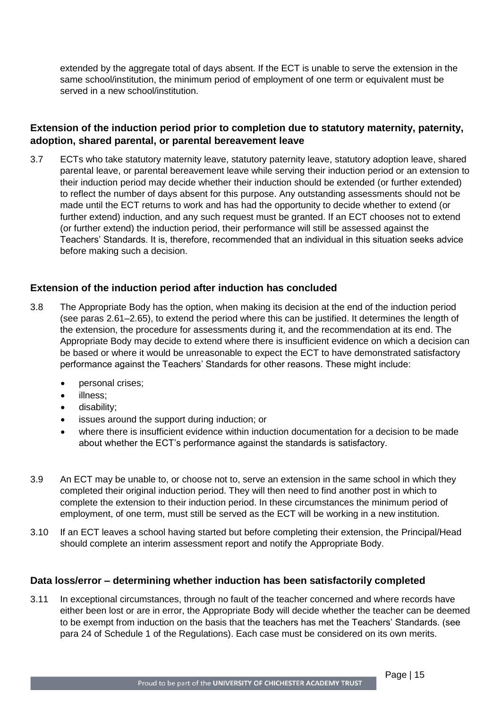extended by the aggregate total of days absent. If the ECT is unable to serve the extension in the same school/institution, the minimum period of employment of one term or equivalent must be served in a new school/institution.

#### **Extension of the induction period prior to completion due to statutory maternity, paternity, adoption, shared parental, or parental bereavement leave**

3.7 ECTs who take statutory maternity leave, statutory paternity leave, statutory adoption leave, shared parental leave, or parental bereavement leave while serving their induction period or an extension to their induction period may decide whether their induction should be extended (or further extended) to reflect the number of days absent for this purpose. Any outstanding assessments should not be made until the ECT returns to work and has had the opportunity to decide whether to extend (or further extend) induction, and any such request must be granted. If an ECT chooses not to extend (or further extend) the induction period, their performance will still be assessed against the Teachers' Standards. It is, therefore, recommended that an individual in this situation seeks advice before making such a decision.

#### **Extension of the induction period after induction has concluded**

- 3.8 The Appropriate Body has the option, when making its decision at the end of the induction period (see paras 2.61–2.65), to extend the period where this can be justified. It determines the length of the extension, the procedure for assessments during it, and the recommendation at its end. The Appropriate Body may decide to extend where there is insufficient evidence on which a decision can be based or where it would be unreasonable to expect the ECT to have demonstrated satisfactory performance against the Teachers' Standards for other reasons. These might include:
	- personal crises;
	- illness;
	- disability;
	- issues around the support during induction; or
	- where there is insufficient evidence within induction documentation for a decision to be made about whether the ECT's performance against the standards is satisfactory.
- 3.9 An ECT may be unable to, or choose not to, serve an extension in the same school in which they completed their original induction period. They will then need to find another post in which to complete the extension to their induction period. In these circumstances the minimum period of employment, of one term, must still be served as the ECT will be working in a new institution.
- 3.10 If an ECT leaves a school having started but before completing their extension, the Principal/Head should complete an interim assessment report and notify the Appropriate Body.

#### **Data loss/error – determining whether induction has been satisfactorily completed**

3.11 In exceptional circumstances, through no fault of the teacher concerned and where records have either been lost or are in error, the Appropriate Body will decide whether the teacher can be deemed to be exempt from induction on the basis that the teachers has met the Teachers' Standards. (see para 24 of Schedule 1 of the Regulations). Each case must be considered on its own merits.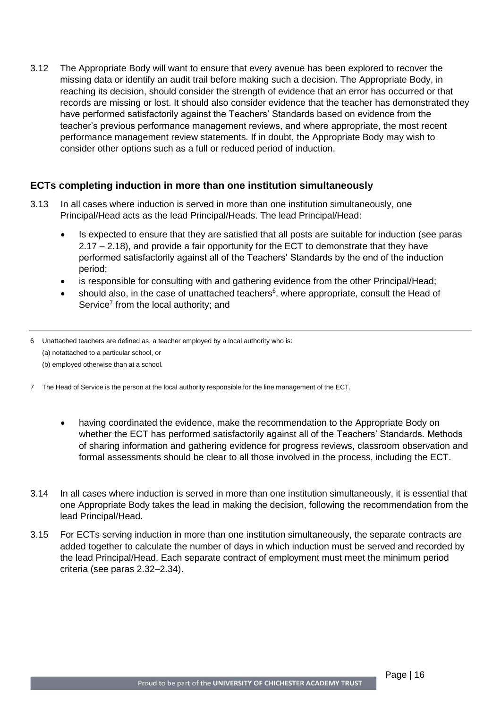3.12 The Appropriate Body will want to ensure that every avenue has been explored to recover the missing data or identify an audit trail before making such a decision. The Appropriate Body, in reaching its decision, should consider the strength of evidence that an error has occurred or that records are missing or lost. It should also consider evidence that the teacher has demonstrated they have performed satisfactorily against the Teachers' Standards based on evidence from the teacher's previous performance management reviews, and where appropriate, the most recent performance management review statements. If in doubt, the Appropriate Body may wish to consider other options such as a full or reduced period of induction.

#### **ECTs completing induction in more than one institution simultaneously**

- 3.13 In all cases where induction is served in more than one institution simultaneously, one Principal/Head acts as the lead Principal/Heads. The lead Principal/Head:
	- Is expected to ensure that they are satisfied that all posts are suitable for induction (see paras 2.17 – 2.18), and provide a fair opportunity for the ECT to demonstrate that they have performed satisfactorily against all of the Teachers' Standards by the end of the induction period;
	- is responsible for consulting with and gathering evidence from the other Principal/Head;
	- should also, in the case of unattached teachers<sup>6</sup>, where appropriate, consult the Head of Service<sup>7</sup> from the local authority; and
- 6 Unattached teachers are defined as, a teacher employed by a local authority who is: (a) notattached to a particular school, or
	- (b) employed otherwise than at a school.
- 7 The Head of Service is the person at the local authority responsible for the line management of the ECT.
	- having coordinated the evidence, make the recommendation to the Appropriate Body on whether the ECT has performed satisfactorily against all of the Teachers' Standards. Methods of sharing information and gathering evidence for progress reviews, classroom observation and formal assessments should be clear to all those involved in the process, including the ECT.
- 3.14 In all cases where induction is served in more than one institution simultaneously, it is essential that one Appropriate Body takes the lead in making the decision, following the recommendation from the lead Principal/Head.
- 3.15 For ECTs serving induction in more than one institution simultaneously, the separate contracts are added together to calculate the number of days in which induction must be served and recorded by the lead Principal/Head. Each separate contract of employment must meet the minimum period criteria (see paras 2.32–2.34).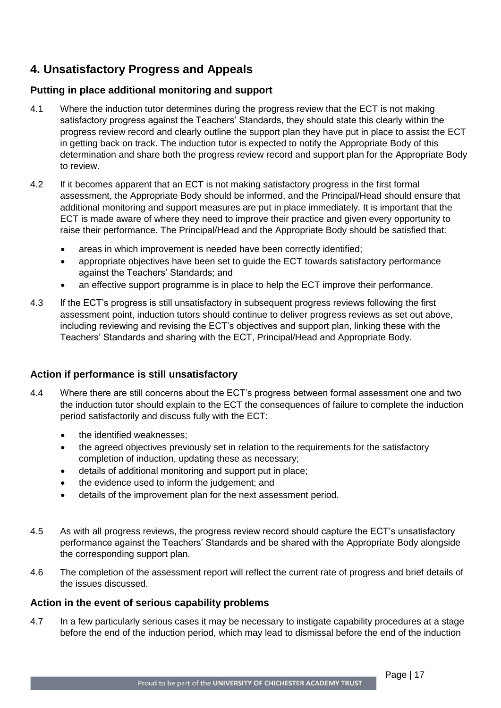### <span id="page-16-0"></span>**4. Unsatisfactory Progress and Appeals**

#### **Putting in place additional monitoring and support**

- 4.1 Where the induction tutor determines during the progress review that the ECT is not making satisfactory progress against the Teachers' Standards, they should state this clearly within the progress review record and clearly outline the support plan they have put in place to assist the ECT in getting back on track. The induction tutor is expected to notify the Appropriate Body of this determination and share both the progress review record and support plan for the Appropriate Body to review.
- 4.2 If it becomes apparent that an ECT is not making satisfactory progress in the first formal assessment, the Appropriate Body should be informed, and the Principal/Head should ensure that additional monitoring and support measures are put in place immediately. It is important that the ECT is made aware of where they need to improve their practice and given every opportunity to raise their performance. The Principal/Head and the Appropriate Body should be satisfied that:
	- areas in which improvement is needed have been correctly identified;
	- appropriate objectives have been set to guide the ECT towards satisfactory performance against the Teachers' Standards; and
	- an effective support programme is in place to help the ECT improve their performance.
- 4.3 If the ECT's progress is still unsatisfactory in subsequent progress reviews following the first assessment point, induction tutors should continue to deliver progress reviews as set out above, including reviewing and revising the ECT's objectives and support plan, linking these with the Teachers' Standards and sharing with the ECT, Principal/Head and Appropriate Body.

#### **Action if performance is still unsatisfactory**

- 4.4 Where there are still concerns about the ECT's progress between formal assessment one and two the induction tutor should explain to the ECT the consequences of failure to complete the induction period satisfactorily and discuss fully with the ECT:
	- the identified weaknesses;
	- the agreed objectives previously set in relation to the requirements for the satisfactory completion of induction, updating these as necessary;
	- details of additional monitoring and support put in place;
	- the evidence used to inform the judgement; and
	- details of the improvement plan for the next assessment period.
- 4.5 As with all progress reviews, the progress review record should capture the ECT's unsatisfactory performance against the Teachers' Standards and be shared with the Appropriate Body alongside the corresponding support plan.
- 4.6 The completion of the assessment report will reflect the current rate of progress and brief details of the issues discussed.

#### **Action in the event of serious capability problems**

4.7 In a few particularly serious cases it may be necessary to instigate capability procedures at a stage before the end of the induction period, which may lead to dismissal before the end of the induction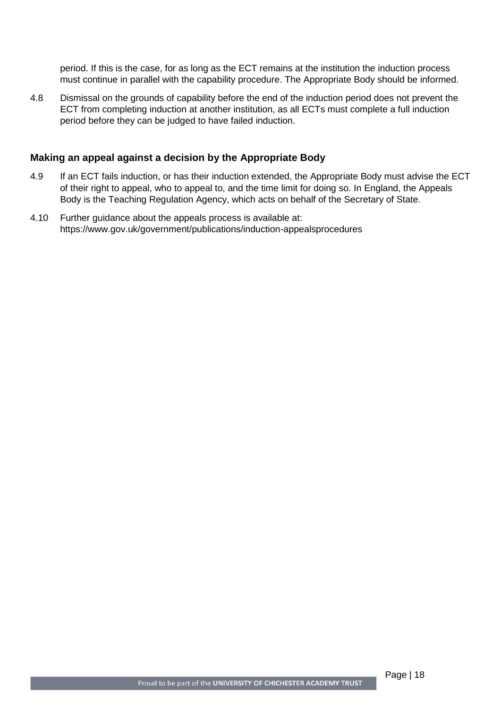period. If this is the case, for as long as the ECT remains at the institution the induction process must continue in parallel with the capability procedure. The Appropriate Body should be informed.

4.8 Dismissal on the grounds of capability before the end of the induction period does not prevent the ECT from completing induction at another institution, as all ECTs must complete a full induction period before they can be judged to have failed induction.

#### **Making an appeal against a decision by the Appropriate Body**

- 4.9 If an ECT fails induction, or has their induction extended, the Appropriate Body must advise the ECT of their right to appeal, who to appeal to, and the time limit for doing so. In England, the Appeals Body is the Teaching Regulation Agency, which acts on behalf of the Secretary of State.
- 4.10 Further guidance about the appeals process is available at: https://www.gov.uk/government/publications/induction-appealsprocedures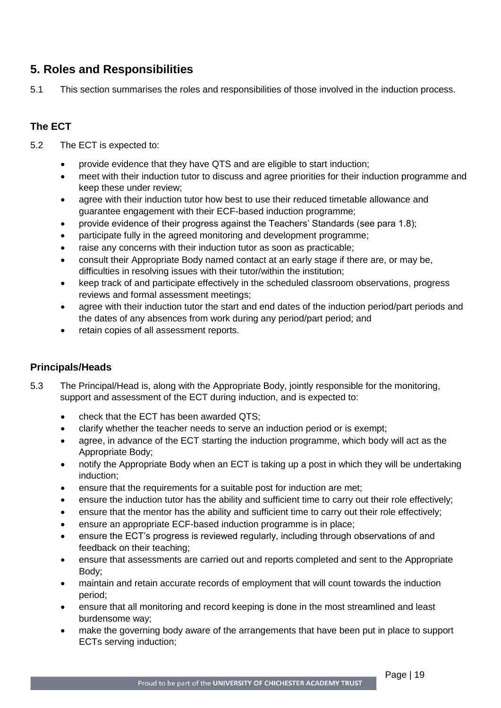### <span id="page-18-0"></span>**5. Roles and Responsibilities**

5.1 This section summarises the roles and responsibilities of those involved in the induction process.

### **The ECT**

- 5.2 The ECT is expected to:
	- provide evidence that they have QTS and are eligible to start induction;
	- meet with their induction tutor to discuss and agree priorities for their induction programme and keep these under review;
	- agree with their induction tutor how best to use their reduced timetable allowance and guarantee engagement with their ECF-based induction programme;
	- provide evidence of their progress against the Teachers' Standards (see para 1.8);
	- participate fully in the agreed monitoring and development programme;
	- raise any concerns with their induction tutor as soon as practicable;
	- consult their Appropriate Body named contact at an early stage if there are, or may be, difficulties in resolving issues with their tutor/within the institution;
	- keep track of and participate effectively in the scheduled classroom observations, progress reviews and formal assessment meetings;
	- agree with their induction tutor the start and end dates of the induction period/part periods and the dates of any absences from work during any period/part period; and
	- retain copies of all assessment reports.

#### **Principals/Heads**

- 5.3 The Principal/Head is, along with the Appropriate Body, jointly responsible for the monitoring, support and assessment of the ECT during induction, and is expected to:
	- check that the ECT has been awarded QTS;
	- clarify whether the teacher needs to serve an induction period or is exempt;
	- agree, in advance of the ECT starting the induction programme, which body will act as the Appropriate Body;
	- notify the Appropriate Body when an ECT is taking up a post in which they will be undertaking induction;
	- ensure that the requirements for a suitable post for induction are met;
	- ensure the induction tutor has the ability and sufficient time to carry out their role effectively;
	- ensure that the mentor has the ability and sufficient time to carry out their role effectively;
	- ensure an appropriate ECF-based induction programme is in place;
	- ensure the ECT's progress is reviewed regularly, including through observations of and feedback on their teaching;
	- ensure that assessments are carried out and reports completed and sent to the Appropriate Body;
	- maintain and retain accurate records of employment that will count towards the induction period;
	- ensure that all monitoring and record keeping is done in the most streamlined and least burdensome way;
	- make the governing body aware of the arrangements that have been put in place to support ECTs serving induction;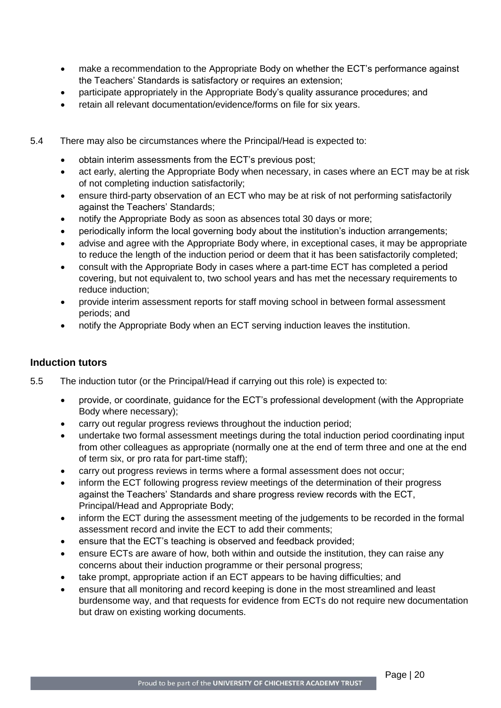- make a recommendation to the Appropriate Body on whether the ECT's performance against the Teachers' Standards is satisfactory or requires an extension;
- participate appropriately in the Appropriate Body's quality assurance procedures; and
- retain all relevant documentation/evidence/forms on file for six years.
- 5.4 There may also be circumstances where the Principal/Head is expected to:
	- obtain interim assessments from the ECT's previous post;
	- act early, alerting the Appropriate Body when necessary, in cases where an ECT may be at risk of not completing induction satisfactorily;
	- ensure third-party observation of an ECT who may be at risk of not performing satisfactorily against the Teachers' Standards;
	- notify the Appropriate Body as soon as absences total 30 days or more;
	- periodically inform the local governing body about the institution's induction arrangements;
	- advise and agree with the Appropriate Body where, in exceptional cases, it may be appropriate to reduce the length of the induction period or deem that it has been satisfactorily completed;
	- consult with the Appropriate Body in cases where a part-time ECT has completed a period covering, but not equivalent to, two school years and has met the necessary requirements to reduce induction;
	- provide interim assessment reports for staff moving school in between formal assessment periods; and
	- notify the Appropriate Body when an ECT serving induction leaves the institution.

#### **Induction tutors**

- 5.5 The induction tutor (or the Principal/Head if carrying out this role) is expected to:
	- provide, or coordinate, guidance for the ECT's professional development (with the Appropriate Body where necessary);
	- carry out regular progress reviews throughout the induction period;
	- undertake two formal assessment meetings during the total induction period coordinating input from other colleagues as appropriate (normally one at the end of term three and one at the end of term six, or pro rata for part-time staff);
	- carry out progress reviews in terms where a formal assessment does not occur;
	- inform the ECT following progress review meetings of the determination of their progress against the Teachers' Standards and share progress review records with the ECT, Principal/Head and Appropriate Body;
	- inform the ECT during the assessment meeting of the judgements to be recorded in the formal assessment record and invite the ECT to add their comments;
	- ensure that the ECT's teaching is observed and feedback provided;
	- ensure ECTs are aware of how, both within and outside the institution, they can raise any concerns about their induction programme or their personal progress;
	- take prompt, appropriate action if an ECT appears to be having difficulties; and
	- ensure that all monitoring and record keeping is done in the most streamlined and least burdensome way, and that requests for evidence from ECTs do not require new documentation but draw on existing working documents.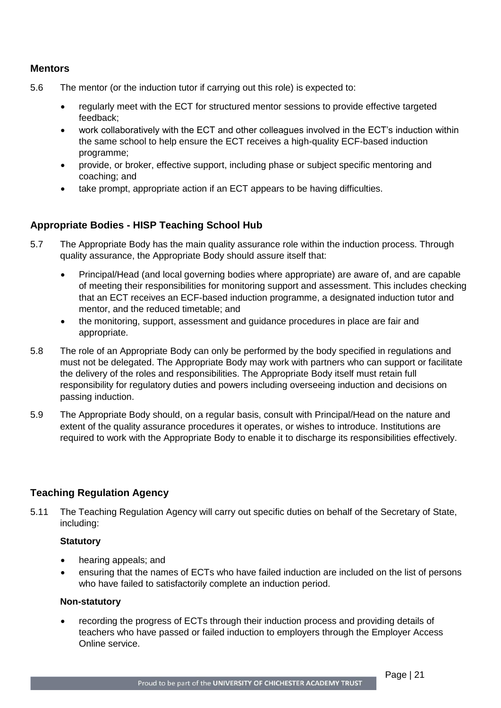#### **Mentors**

- 5.6 The mentor (or the induction tutor if carrying out this role) is expected to:
	- regularly meet with the ECT for structured mentor sessions to provide effective targeted feedback;
	- work collaboratively with the ECT and other colleagues involved in the ECT's induction within the same school to help ensure the ECT receives a high-quality ECF-based induction programme;
	- provide, or broker, effective support, including phase or subject specific mentoring and coaching; and
	- take prompt, appropriate action if an ECT appears to be having difficulties.

#### **Appropriate Bodies - HISP Teaching School Hub**

- 5.7 The Appropriate Body has the main quality assurance role within the induction process. Through quality assurance, the Appropriate Body should assure itself that:
	- Principal/Head (and local governing bodies where appropriate) are aware of, and are capable of meeting their responsibilities for monitoring support and assessment. This includes checking that an ECT receives an ECF-based induction programme, a designated induction tutor and mentor, and the reduced timetable; and
	- the monitoring, support, assessment and guidance procedures in place are fair and appropriate.
- 5.8 The role of an Appropriate Body can only be performed by the body specified in regulations and must not be delegated. The Appropriate Body may work with partners who can support or facilitate the delivery of the roles and responsibilities. The Appropriate Body itself must retain full responsibility for regulatory duties and powers including overseeing induction and decisions on passing induction.
- 5.9 The Appropriate Body should, on a regular basis, consult with Principal/Head on the nature and extent of the quality assurance procedures it operates, or wishes to introduce. Institutions are required to work with the Appropriate Body to enable it to discharge its responsibilities effectively.

#### **Teaching Regulation Agency**

5.11 The Teaching Regulation Agency will carry out specific duties on behalf of the Secretary of State, including:

#### **Statutory**

- hearing appeals; and
- ensuring that the names of ECTs who have failed induction are included on the list of persons who have failed to satisfactorily complete an induction period.

#### **Non-statutory**

 recording the progress of ECTs through their induction process and providing details of teachers who have passed or failed induction to employers through the Employer Access Online service.